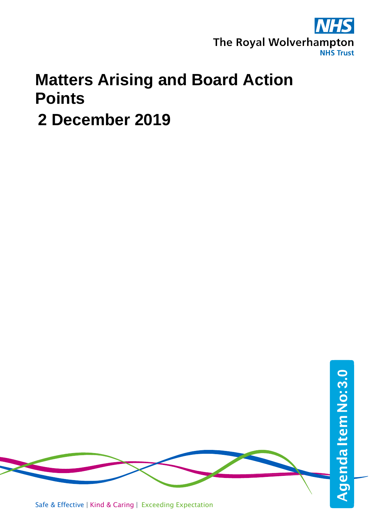

## **Matters Arising and Board Action Points**

 **2 December 2019**



Safe & Effective | Kind & Caring | Exceeding Expectation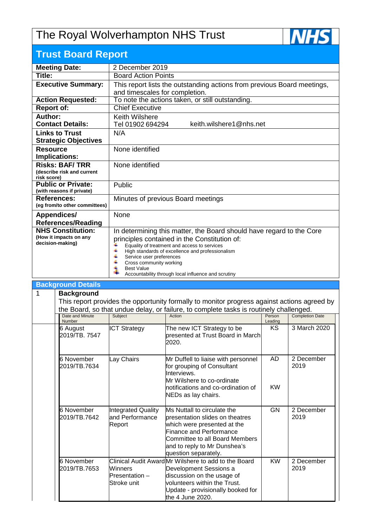## The Royal Wolverhampton NHS Trust



## **Trust Board Report**

| 2 December 2019                                                                                                            |  |  |  |  |
|----------------------------------------------------------------------------------------------------------------------------|--|--|--|--|
| <b>Board Action Points</b>                                                                                                 |  |  |  |  |
| This report lists the outstanding actions from previous Board meetings,                                                    |  |  |  |  |
| and timescales for completion.                                                                                             |  |  |  |  |
| To note the actions taken, or still outstanding.                                                                           |  |  |  |  |
| <b>Chief Executive</b>                                                                                                     |  |  |  |  |
| <b>Keith Wilshere</b>                                                                                                      |  |  |  |  |
| keith.wilshere1@nhs.net<br>Tel 01902 694294                                                                                |  |  |  |  |
| N/A                                                                                                                        |  |  |  |  |
|                                                                                                                            |  |  |  |  |
| None identified                                                                                                            |  |  |  |  |
|                                                                                                                            |  |  |  |  |
| None identified                                                                                                            |  |  |  |  |
|                                                                                                                            |  |  |  |  |
| Public                                                                                                                     |  |  |  |  |
|                                                                                                                            |  |  |  |  |
| Minutes of previous Board meetings                                                                                         |  |  |  |  |
| (eg from/to other committees)                                                                                              |  |  |  |  |
| <b>None</b>                                                                                                                |  |  |  |  |
|                                                                                                                            |  |  |  |  |
| <b>NHS Constitution:</b><br>In determining this matter, the Board should have regard to the Core<br>(How it impacts on any |  |  |  |  |
| principles contained in the Constitution of:                                                                               |  |  |  |  |
| Equality of treatment and access to services                                                                               |  |  |  |  |
| High standards of excellence and professionalism                                                                           |  |  |  |  |
| Service user preferences                                                                                                   |  |  |  |  |
| Cross community working                                                                                                    |  |  |  |  |
| <b>Best Value</b><br>Accountability through local influence and scrutiny                                                   |  |  |  |  |
|                                                                                                                            |  |  |  |  |

|   | <b>Background Details</b>                                                                                                                                          |                                                      |                                                                                                                                                                                                                                  |           |                    |  |  |  |
|---|--------------------------------------------------------------------------------------------------------------------------------------------------------------------|------------------------------------------------------|----------------------------------------------------------------------------------------------------------------------------------------------------------------------------------------------------------------------------------|-----------|--------------------|--|--|--|
| 1 | <b>Background</b><br>This report provides the opportunity formally to monitor progress against actions agreed by                                                   |                                                      |                                                                                                                                                                                                                                  |           |                    |  |  |  |
|   |                                                                                                                                                                    |                                                      |                                                                                                                                                                                                                                  |           |                    |  |  |  |
|   | the Board, so that undue delay, or failure, to complete tasks is routinely challenged.<br><b>Completion Date</b><br>Date and Minute<br>Subject<br>Action<br>Person |                                                      |                                                                                                                                                                                                                                  |           |                    |  |  |  |
|   | Number                                                                                                                                                             |                                                      |                                                                                                                                                                                                                                  | Leading   |                    |  |  |  |
|   | 6 August<br>2019/TB, 7547                                                                                                                                          | <b>ICT Strategy</b>                                  | The new ICT Strategy to be<br>presented at Trust Board in March<br>2020.                                                                                                                                                         | KS.       | 3 March 2020       |  |  |  |
|   | 6 November<br>2019/TB.7634                                                                                                                                         | Lay Chairs                                           | Mr Duffell to liaise with personnel<br>for grouping of Consultant<br>Interviews.<br>Mr Wilshere to co-ordinate                                                                                                                   | <b>AD</b> | 2 December<br>2019 |  |  |  |
|   |                                                                                                                                                                    |                                                      | notifications and co-ordination of<br>NEDs as lay chairs.                                                                                                                                                                        | <b>KW</b> |                    |  |  |  |
|   | 6 November<br>2019/TB.7642                                                                                                                                         | Integrated Quality<br>and Performance<br>Report      | Ms Nuttall to circulate the<br>presentation slides on theatres<br>which were presented at the<br><b>Finance and Performance</b><br><b>Committee to all Board Members</b><br>and to reply to Mr Dunshea's<br>question separately. | <b>GN</b> | 2 December<br>2019 |  |  |  |
|   | 6 November<br>2019/TB.7653                                                                                                                                         | <b>Winners</b><br>$P$ resentation $-$<br>Stroke unit | Clinical Audit AwardMr Wilshere to add to the Board<br>Development Sessions a<br>discussion on the usage of<br>volunteers within the Trust.<br>Update - provisionally booked for<br>the 4 June 2020.                             | <b>KW</b> | 2 December<br>2019 |  |  |  |